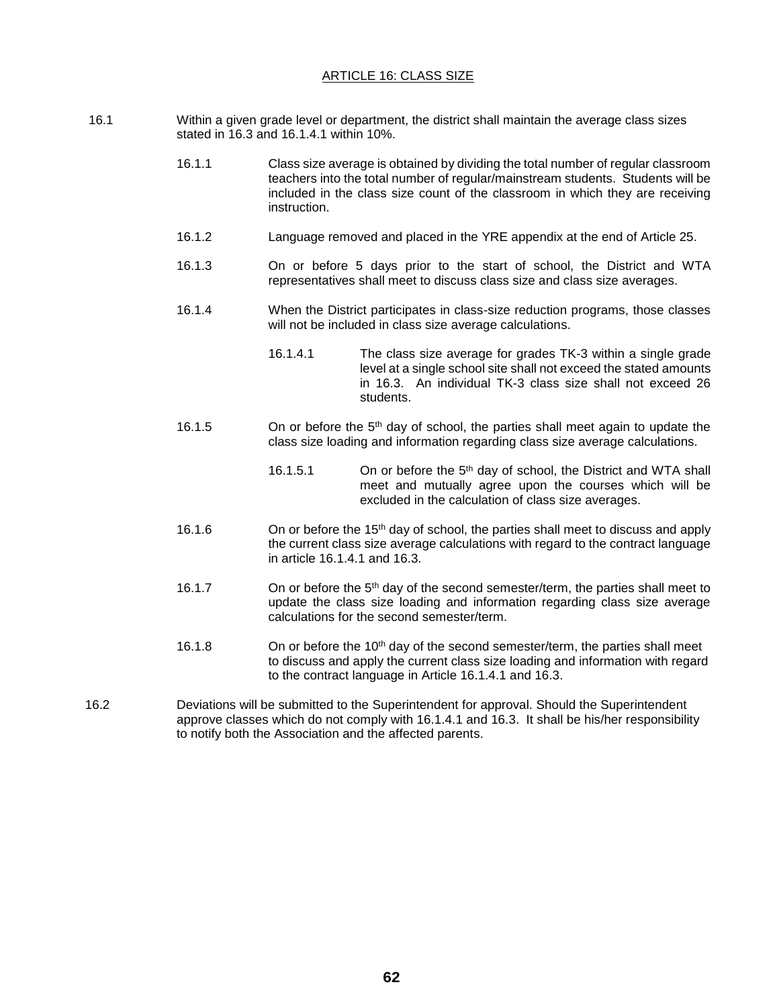## ARTICLE 16: CLASS SIZE

- 16.1 Within a given grade level or department, the district shall maintain the average class sizes stated in 16.3 and 16.1.4.1 within 10%.
	- 16.1.1 Class size average is obtained by dividing the total number of regular classroom teachers into the total number of regular/mainstream students. Students will be included in the class size count of the classroom in which they are receiving instruction.
	- 16.1.2 Language removed and placed in the YRE appendix at the end of Article 25.
	- 16.1.3 On or before 5 days prior to the start of school, the District and WTA representatives shall meet to discuss class size and class size averages.
	- 16.1.4 When the District participates in class-size reduction programs, those classes will not be included in class size average calculations.
		- 16.1.4.1 The class size average for grades TK-3 within a single grade level at a single school site shall not exceed the stated amounts in 16.3. An individual TK-3 class size shall not exceed 26 students.
	- 16.1.5 On or before the  $5<sup>th</sup>$  day of school, the parties shall meet again to update the class size loading and information regarding class size average calculations.
		- 16.1.5.1 On or before the 5th day of school, the District and WTA shall meet and mutually agree upon the courses which will be excluded in the calculation of class size averages.
	- 16.1.6 **On or before the 15<sup>th</sup> day of school, the parties shall meet to discuss and apply** the current class size average calculations with regard to the contract language in article 16.1.4.1 and 16.3.
	- 16.1.7 On or before the 5<sup>th</sup> day of the second semester/term, the parties shall meet to update the class size loading and information regarding class size average calculations for the second semester/term.
	- 16.1.8 On or before the 10<sup>th</sup> day of the second semester/term, the parties shall meet to discuss and apply the current class size loading and information with regard to the contract language in Article 16.1.4.1 and 16.3.
- 16.2 Deviations will be submitted to the Superintendent for approval. Should the Superintendent approve classes which do not comply with 16.1.4.1 and 16.3. It shall be his/her responsibility to notify both the Association and the affected parents.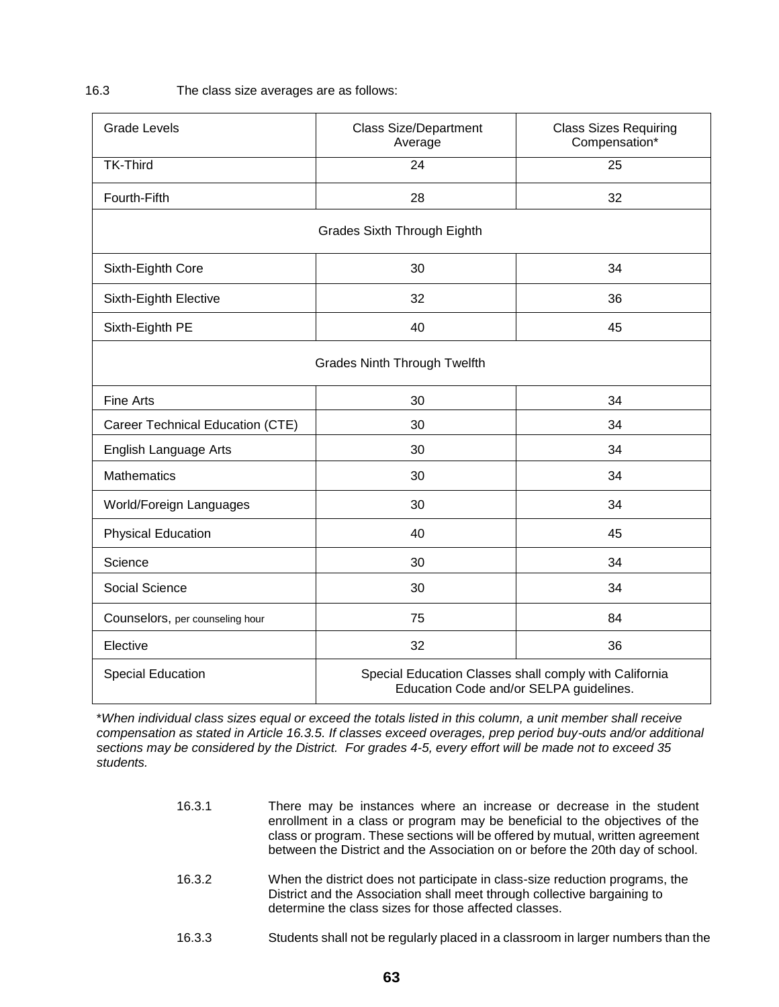## 16.3 The class size averages are as follows:

| <b>Grade Levels</b>                 | <b>Class Size/Department</b><br>Average                                                           | <b>Class Sizes Requiring</b><br>Compensation* |
|-------------------------------------|---------------------------------------------------------------------------------------------------|-----------------------------------------------|
| <b>TK-Third</b>                     | $\overline{24}$                                                                                   | $\overline{25}$                               |
| Fourth-Fifth                        | 28                                                                                                | 32                                            |
| <b>Grades Sixth Through Eighth</b>  |                                                                                                   |                                               |
| Sixth-Eighth Core                   | 30                                                                                                | 34                                            |
| Sixth-Eighth Elective               | 32                                                                                                | 36                                            |
| Sixth-Eighth PE                     | 40                                                                                                | 45                                            |
| <b>Grades Ninth Through Twelfth</b> |                                                                                                   |                                               |
| <b>Fine Arts</b>                    | 30                                                                                                | 34                                            |
| Career Technical Education (CTE)    | 30                                                                                                | 34                                            |
| English Language Arts               | 30                                                                                                | 34                                            |
| <b>Mathematics</b>                  | 30                                                                                                | 34                                            |
| World/Foreign Languages             | 30                                                                                                | 34                                            |
| <b>Physical Education</b>           | 40                                                                                                | 45                                            |
| Science                             | 30                                                                                                | 34                                            |
| Social Science                      | 30                                                                                                | 34                                            |
| Counselors, per counseling hour     | 75                                                                                                | 84                                            |
| Elective                            | 32                                                                                                | 36                                            |
| <b>Special Education</b>            | Special Education Classes shall comply with California<br>Education Code and/or SELPA guidelines. |                                               |

\**When individual class sizes equal or exceed the totals listed in this column, a unit member shall receive compensation as stated in Article 16.3.5. If classes exceed overages, prep period buy-outs and/or additional sections may be considered by the District. For grades 4-5, every effort will be made not to exceed 35 students.*

- 16.3.1 There may be instances where an increase or decrease in the student enrollment in a class or program may be beneficial to the objectives of the class or program. These sections will be offered by mutual, written agreement between the District and the Association on or before the 20th day of school.
- 16.3.2 When the district does not participate in class-size reduction programs, the District and the Association shall meet through collective bargaining to determine the class sizes for those affected classes.
- 16.3.3 Students shall not be regularly placed in a classroom in larger numbers than the